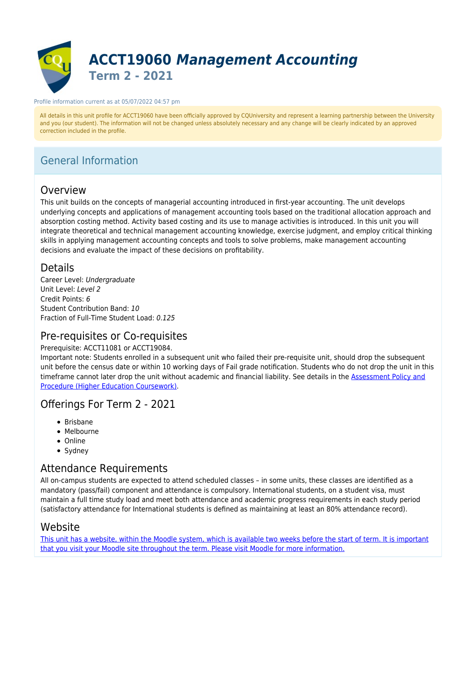

#### Profile information current as at 05/07/2022 04:57 pm

All details in this unit profile for ACCT19060 have been officially approved by CQUniversity and represent a learning partnership between the University and you (our student). The information will not be changed unless absolutely necessary and any change will be clearly indicated by an approved correction included in the profile.

# General Information

# Overview

This unit builds on the concepts of managerial accounting introduced in first-year accounting. The unit develops underlying concepts and applications of management accounting tools based on the traditional allocation approach and absorption costing method. Activity based costing and its use to manage activities is introduced. In this unit you will integrate theoretical and technical management accounting knowledge, exercise judgment, and employ critical thinking skills in applying management accounting concepts and tools to solve problems, make management accounting decisions and evaluate the impact of these decisions on profitability.

### Details

Career Level: Undergraduate Unit Level: Level 2 Credit Points: 6 Student Contribution Band: 10 Fraction of Full-Time Student Load: 0.125

### Pre-requisites or Co-requisites

Prerequisite: ACCT11081 or ACCT19084.

Important note: Students enrolled in a subsequent unit who failed their pre-requisite unit, should drop the subsequent unit before the census date or within 10 working days of Fail grade notification. Students who do not drop the unit in this timeframe cannot later drop the unit without academic and financial liability. See details in the [Assessment Policy and](https://www.cqu.edu.au/policy) [Procedure \(Higher Education Coursework\)](https://www.cqu.edu.au/policy).

## Offerings For Term 2 - 2021

- Brisbane
- Melbourne
- Online
- Sydney

# Attendance Requirements

All on-campus students are expected to attend scheduled classes – in some units, these classes are identified as a mandatory (pass/fail) component and attendance is compulsory. International students, on a student visa, must maintain a full time study load and meet both attendance and academic progress requirements in each study period (satisfactory attendance for International students is defined as maintaining at least an 80% attendance record).

### Website

[This unit has a website, within the Moodle system, which is available two weeks before the start of term. It is important](https://moodle.cqu.edu.au) [that you visit your Moodle site throughout the term. Please visit Moodle for more information.](https://moodle.cqu.edu.au)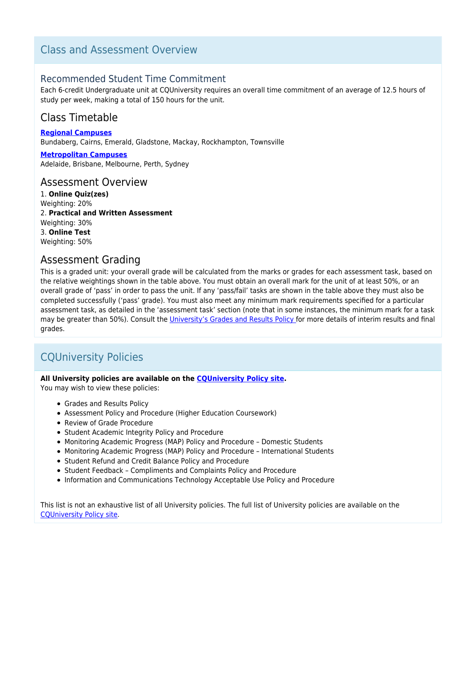# Class and Assessment Overview

### Recommended Student Time Commitment

Each 6-credit Undergraduate unit at CQUniversity requires an overall time commitment of an average of 12.5 hours of study per week, making a total of 150 hours for the unit.

# Class Timetable

**[Regional Campuses](https://handbook.cqu.edu.au/facet/timetables)** Bundaberg, Cairns, Emerald, Gladstone, Mackay, Rockhampton, Townsville

**[Metropolitan Campuses](https://handbook.cqu.edu.au/facet/timetables)** Adelaide, Brisbane, Melbourne, Perth, Sydney

#### Assessment Overview

1. **Online Quiz(zes)** Weighting: 20% 2. **Practical and Written Assessment** Weighting: 30% 3. **Online Test** Weighting: 50%

### Assessment Grading

This is a graded unit: your overall grade will be calculated from the marks or grades for each assessment task, based on the relative weightings shown in the table above. You must obtain an overall mark for the unit of at least 50%, or an overall grade of 'pass' in order to pass the unit. If any 'pass/fail' tasks are shown in the table above they must also be completed successfully ('pass' grade). You must also meet any minimum mark requirements specified for a particular assessment task, as detailed in the 'assessment task' section (note that in some instances, the minimum mark for a task may be greater than 50%). Consult the [University's Grades and Results Policy](https://www.cqu.edu.au/policy) for more details of interim results and final grades.

# CQUniversity Policies

#### **All University policies are available on the [CQUniversity Policy site.](https://policy.cqu.edu.au/)**

You may wish to view these policies:

- Grades and Results Policy
- Assessment Policy and Procedure (Higher Education Coursework)
- Review of Grade Procedure
- Student Academic Integrity Policy and Procedure
- Monitoring Academic Progress (MAP) Policy and Procedure Domestic Students
- Monitoring Academic Progress (MAP) Policy and Procedure International Students
- Student Refund and Credit Balance Policy and Procedure
- Student Feedback Compliments and Complaints Policy and Procedure
- Information and Communications Technology Acceptable Use Policy and Procedure

This list is not an exhaustive list of all University policies. The full list of University policies are available on the [CQUniversity Policy site.](https://policy.cqu.edu.au/)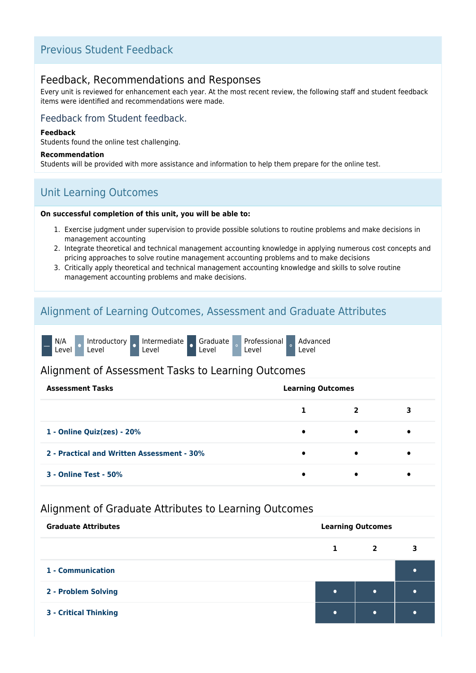# Previous Student Feedback

### Feedback, Recommendations and Responses

Every unit is reviewed for enhancement each year. At the most recent review, the following staff and student feedback items were identified and recommendations were made.

### Feedback from Student feedback.

#### **Feedback**

Students found the online test challenging.

#### **Recommendation**

Students will be provided with more assistance and information to help them prepare for the online test.

# Unit Learning Outcomes

#### **On successful completion of this unit, you will be able to:**

- 1. Exercise judgment under supervision to provide possible solutions to routine problems and make decisions in management accounting
- 2. Integrate theoretical and technical management accounting knowledge in applying numerous cost concepts and pricing approaches to solve routine management accounting problems and to make decisions
- 3. Critically apply theoretical and technical management accounting knowledge and skills to solve routine management accounting problems and make decisions.

## Alignment of Learning Outcomes, Assessment and Graduate Attributes

|  | N/A<br>Level |  | Introductory<br>Level |  | Intermediate Graduate Professional<br>Level |  | Level |  | Level |  | Advanced<br>Level |
|--|--------------|--|-----------------------|--|---------------------------------------------|--|-------|--|-------|--|-------------------|
|--|--------------|--|-----------------------|--|---------------------------------------------|--|-------|--|-------|--|-------------------|

### Alignment of Assessment Tasks to Learning Outcomes

| <b>Assessment Tasks</b>                    | <b>Learning Outcomes</b> |           |   |
|--------------------------------------------|--------------------------|-----------|---|
|                                            |                          | 2         | 3 |
| 1 - Online Quiz(zes) - 20%                 | $\bullet$                | $\bullet$ |   |
| 2 - Practical and Written Assessment - 30% | $\bullet$                | $\bullet$ | ٠ |
| <b>3 - Online Test - 50%</b>               |                          |           |   |

### Alignment of Graduate Attributes to Learning Outcomes

| <b>Graduate Attributes</b>   | <b>Learning Outcomes</b> |                |  |  |  |  |
|------------------------------|--------------------------|----------------|--|--|--|--|
|                              | 1                        | $\overline{2}$ |  |  |  |  |
| 1 - Communication            |                          |                |  |  |  |  |
| 2 - Problem Solving          | $\bullet$                | $\bullet$      |  |  |  |  |
| <b>3 - Critical Thinking</b> |                          | $\bullet$      |  |  |  |  |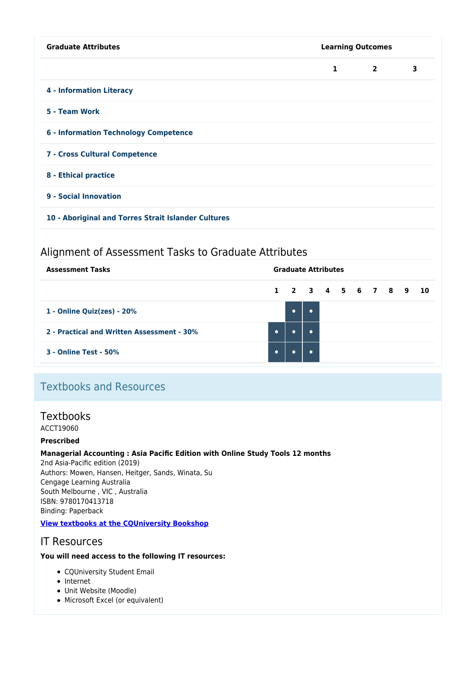| <b>Graduate Attributes</b>                          | <b>Learning Outcomes</b> |                |   |  |  |  |
|-----------------------------------------------------|--------------------------|----------------|---|--|--|--|
|                                                     | $\mathbf{1}$             | $\overline{2}$ | 3 |  |  |  |
| <b>4 - Information Literacy</b>                     |                          |                |   |  |  |  |
| 5 - Team Work                                       |                          |                |   |  |  |  |
| <b>6 - Information Technology Competence</b>        |                          |                |   |  |  |  |
| 7 - Cross Cultural Competence                       |                          |                |   |  |  |  |
| 8 - Ethical practice                                |                          |                |   |  |  |  |
| 9 - Social Innovation                               |                          |                |   |  |  |  |
| 10 - Aboriginal and Torres Strait Islander Cultures |                          |                |   |  |  |  |

# Alignment of Assessment Tasks to Graduate Attributes

| <b>Assessment Tasks</b>                    |           |                      | <b>Graduate Attributes</b> |  |  |  |  |
|--------------------------------------------|-----------|----------------------|----------------------------|--|--|--|--|
|                                            |           | 1 2 3 4 5 6 7 8 9 10 |                            |  |  |  |  |
| 1 - Online Quiz(zes) - 20%                 |           | $\bullet$            |                            |  |  |  |  |
| 2 - Practical and Written Assessment - 30% | $\bullet$ |                      |                            |  |  |  |  |
| <b>3 - Online Test - 50%</b>               | $\bullet$ |                      |                            |  |  |  |  |

# Textbooks and Resources

# **Textbooks**

ACCT19060

#### **Prescribed**

#### **Managerial Accounting : Asia Pacific Edition with Online Study Tools 12 months**

2nd Asia-Pacific edition (2019) Authors: Mowen, Hansen, Heitger, Sands, Winata, Su Cengage Learning Australia South Melbourne , VIC , Australia ISBN: 9780170413718 Binding: Paperback

### **[View textbooks at the CQUniversity Bookshop](https://bookshop.cqu.edu.au/)**

## IT Resources

#### **You will need access to the following IT resources:**

- CQUniversity Student Email
- Internet
- Unit Website (Moodle)
- Microsoft Excel (or equivalent)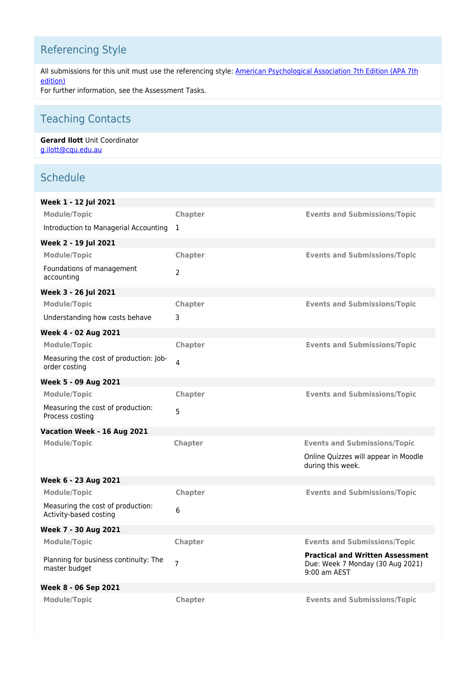# Referencing Style

All submissions for this unit must use the referencing style: [American Psychological Association 7th Edition \(APA 7th](https://delivery-cqucontenthub.stylelabs.cloud/api/public/content/apa-referencing-style.pdf?v=51e1aea7) [edition\)](https://delivery-cqucontenthub.stylelabs.cloud/api/public/content/apa-referencing-style.pdf?v=51e1aea7) For further information, see the Assessment Tasks.

Teaching Contacts

#### **Gerard Ilott** Unit Coordinator [g.ilott@cqu.edu.au](mailto:g.ilott@cqu.edu.au)

# **Schedule**

| Week 1 - 12 Jul 2021                                        |                |                                                                                             |
|-------------------------------------------------------------|----------------|---------------------------------------------------------------------------------------------|
| <b>Module/Topic</b>                                         | Chapter        | <b>Events and Submissions/Topic</b>                                                         |
| Introduction to Managerial Accounting 1                     |                |                                                                                             |
| Week 2 - 19 Jul 2021                                        |                |                                                                                             |
| <b>Module/Topic</b>                                         | Chapter        | <b>Events and Submissions/Topic</b>                                                         |
| Foundations of management<br>accounting                     | $\overline{2}$ |                                                                                             |
| Week 3 - 26 Jul 2021                                        |                |                                                                                             |
| <b>Module/Topic</b>                                         | <b>Chapter</b> | <b>Events and Submissions/Topic</b>                                                         |
| Understanding how costs behave                              | 3              |                                                                                             |
| Week 4 - 02 Aug 2021                                        |                |                                                                                             |
| <b>Module/Topic</b>                                         | <b>Chapter</b> | <b>Events and Submissions/Topic</b>                                                         |
| Measuring the cost of production: Job-<br>order costing     | 4              |                                                                                             |
| Week 5 - 09 Aug 2021                                        |                |                                                                                             |
| <b>Module/Topic</b>                                         | Chapter        | <b>Events and Submissions/Topic</b>                                                         |
| Measuring the cost of production:<br>Process costing        | 5              |                                                                                             |
| Vacation Week - 16 Aug 2021                                 |                |                                                                                             |
| <b>Module/Topic</b>                                         | Chapter        | <b>Events and Submissions/Topic</b>                                                         |
|                                                             |                | Online Quizzes will appear in Moodle<br>during this week.                                   |
| Week 6 - 23 Aug 2021                                        |                |                                                                                             |
| <b>Module/Topic</b>                                         | <b>Chapter</b> | <b>Events and Submissions/Topic</b>                                                         |
| Measuring the cost of production:<br>Activity-based costing | 6              |                                                                                             |
| Week 7 - 30 Aug 2021                                        |                |                                                                                             |
| Module/Topic                                                | Chapter        | <b>Events and Submissions/Topic</b>                                                         |
| Planning for business continuity: The<br>master budget      | $\overline{7}$ | <b>Practical and Written Assessment</b><br>Due: Week 7 Monday (30 Aug 2021)<br>9:00 am AEST |
| Week 8 - 06 Sep 2021                                        |                |                                                                                             |
| <b>Module/Topic</b>                                         | Chapter        | <b>Events and Submissions/Topic</b>                                                         |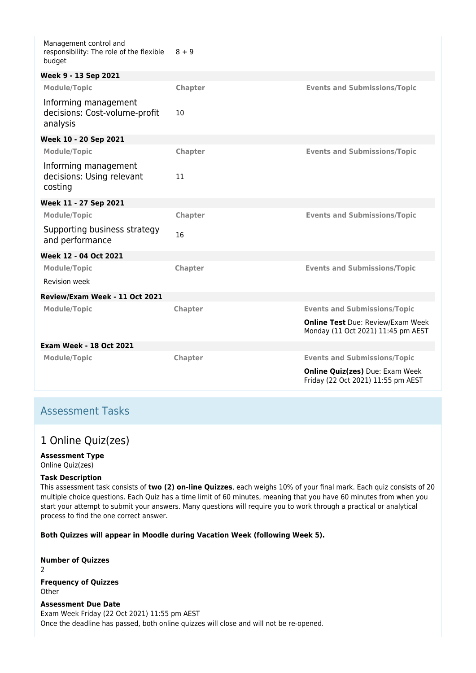| Management control and<br>responsibility: The role of the flexible<br>budget | $8 + 9$        |                                                                                |
|------------------------------------------------------------------------------|----------------|--------------------------------------------------------------------------------|
| Week 9 - 13 Sep 2021                                                         |                |                                                                                |
| <b>Module/Topic</b>                                                          | Chapter        | <b>Events and Submissions/Topic</b>                                            |
| Informing management<br>decisions: Cost-volume-profit<br>analysis            | 10             |                                                                                |
| Week 10 - 20 Sep 2021                                                        |                |                                                                                |
| <b>Module/Topic</b>                                                          | Chapter        | <b>Events and Submissions/Topic</b>                                            |
| Informing management<br>decisions: Using relevant<br>costing                 | 11             |                                                                                |
| Week 11 - 27 Sep 2021                                                        |                |                                                                                |
| <b>Module/Topic</b>                                                          | <b>Chapter</b> | <b>Events and Submissions/Topic</b>                                            |
| Supporting business strategy<br>and performance                              | 16             |                                                                                |
| Week 12 - 04 Oct 2021                                                        |                |                                                                                |
| <b>Module/Topic</b>                                                          | <b>Chapter</b> | <b>Events and Submissions/Topic</b>                                            |
| <b>Revision week</b>                                                         |                |                                                                                |
| Review/Exam Week - 11 Oct 2021                                               |                |                                                                                |
| <b>Module/Topic</b>                                                          | Chapter        | <b>Events and Submissions/Topic</b>                                            |
|                                                                              |                | <b>Online Test Due: Review/Exam Week</b><br>Monday (11 Oct 2021) 11:45 pm AEST |
| <b>Exam Week - 18 Oct 2021</b>                                               |                |                                                                                |
| <b>Module/Topic</b>                                                          | Chapter        | <b>Events and Submissions/Topic</b>                                            |
|                                                                              |                | <b>Online Quiz(zes)</b> Due: Exam Week<br>Friday (22 Oct 2021) 11:55 pm AEST   |

## Assessment Tasks

# 1 Online Quiz(zes)

#### **Assessment Type**

Online Quiz(zes)

#### **Task Description**

This assessment task consists of **two (2) on-line Quizzes**, each weighs 10% of your final mark. Each quiz consists of 20 multiple choice questions. Each Quiz has a time limit of 60 minutes, meaning that you have 60 minutes from when you start your attempt to submit your answers. Many questions will require you to work through a practical or analytical process to find the one correct answer.

**Both Quizzes will appear in Moodle during Vacation Week (following Week 5).**

**Number of Quizzes** 2 **Frequency of Quizzes Other** 

#### **Assessment Due Date**

Exam Week Friday (22 Oct 2021) 11:55 pm AEST Once the deadline has passed, both online quizzes will close and will not be re-opened.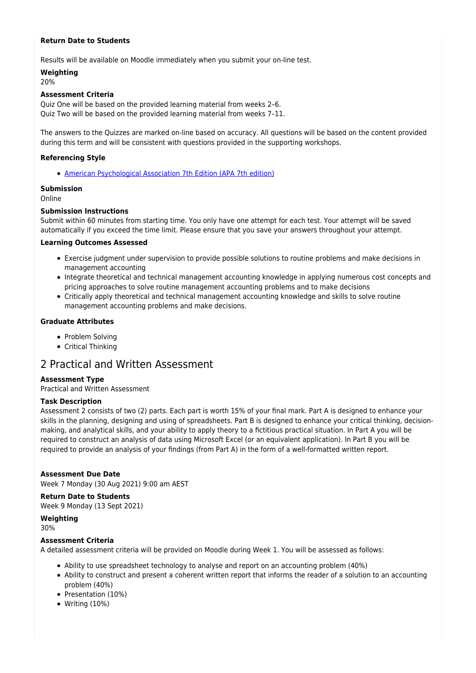#### **Return Date to Students**

Results will be available on Moodle immediately when you submit your on-line test.

**Weighting** 20%

### **Assessment Criteria**

Quiz One will be based on the provided learning material from weeks 2–6. Quiz Two will be based on the provided learning material from weeks 7–11.

The answers to the Quizzes are marked on-line based on accuracy. All questions will be based on the content provided during this term and will be consistent with questions provided in the supporting workshops.

#### **Referencing Style**

[American Psychological Association 7th Edition \(APA 7th edition\)](https://delivery-cqucontenthub.stylelabs.cloud/api/public/content/apa-referencing-style.pdf?v=51e1aea7)

#### **Submission**

Online

#### **Submission Instructions**

Submit within 60 minutes from starting time. You only have one attempt for each test. Your attempt will be saved automatically if you exceed the time limit. Please ensure that you save your answers throughout your attempt.

#### **Learning Outcomes Assessed**

- Exercise judgment under supervision to provide possible solutions to routine problems and make decisions in management accounting
- Integrate theoretical and technical management accounting knowledge in applying numerous cost concepts and pricing approaches to solve routine management accounting problems and to make decisions
- Critically apply theoretical and technical management accounting knowledge and skills to solve routine management accounting problems and make decisions.

#### **Graduate Attributes**

- Problem Solving
- Critical Thinking

### 2 Practical and Written Assessment

#### **Assessment Type**

Practical and Written Assessment

#### **Task Description**

Assessment 2 consists of two (2) parts. Each part is worth 15% of your final mark. Part A is designed to enhance your skills in the planning, designing and using of spreadsheets. Part B is designed to enhance your critical thinking, decisionmaking, and analytical skills, and your ability to apply theory to a fictitious practical situation. In Part A you will be required to construct an analysis of data using Microsoft Excel (or an equivalent application). In Part B you will be required to provide an analysis of your findings (from Part A) in the form of a well-formatted written report.

#### **Assessment Due Date**

Week 7 Monday (30 Aug 2021) 9:00 am AEST

#### **Return Date to Students**

Week 9 Monday (13 Sept 2021)

**Weighting** 30%

#### **Assessment Criteria**

A detailed assessment criteria will be provided on Moodle during Week 1. You will be assessed as follows:

- Ability to use spreadsheet technology to analyse and report on an accounting problem (40%)
- Ability to construct and present a coherent written report that informs the reader of a solution to an accounting problem (40%)
- Presentation (10%)
- Writing (10%)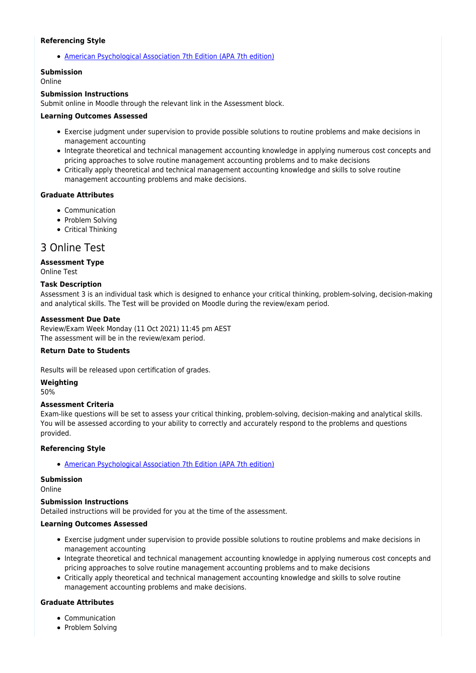#### **Referencing Style**

[American Psychological Association 7th Edition \(APA 7th edition\)](https://delivery-cqucontenthub.stylelabs.cloud/api/public/content/apa-referencing-style.pdf?v=51e1aea7)

#### **Submission**

Online

#### **Submission Instructions**

Submit online in Moodle through the relevant link in the Assessment block.

#### **Learning Outcomes Assessed**

- Exercise judgment under supervision to provide possible solutions to routine problems and make decisions in management accounting
- Integrate theoretical and technical management accounting knowledge in applying numerous cost concepts and pricing approaches to solve routine management accounting problems and to make decisions
- Critically apply theoretical and technical management accounting knowledge and skills to solve routine management accounting problems and make decisions.

#### **Graduate Attributes**

- Communication
- Problem Solving
- Critical Thinking

### 3 Online Test

#### **Assessment Type**

Online Test

#### **Task Description**

Assessment 3 is an individual task which is designed to enhance your critical thinking, problem-solving, decision-making and analytical skills. The Test will be provided on Moodle during the review/exam period.

#### **Assessment Due Date**

Review/Exam Week Monday (11 Oct 2021) 11:45 pm AEST The assessment will be in the review/exam period.

#### **Return Date to Students**

Results will be released upon certification of grades.

**Weighting**

50%

#### **Assessment Criteria**

Exam-like questions will be set to assess your critical thinking, problem-solving, decision-making and analytical skills. You will be assessed according to your ability to correctly and accurately respond to the problems and questions provided.

#### **Referencing Style**

[American Psychological Association 7th Edition \(APA 7th edition\)](https://delivery-cqucontenthub.stylelabs.cloud/api/public/content/apa-referencing-style.pdf?v=51e1aea7)

#### **Submission**

Online

#### **Submission Instructions**

Detailed instructions will be provided for you at the time of the assessment.

#### **Learning Outcomes Assessed**

- Exercise judgment under supervision to provide possible solutions to routine problems and make decisions in management accounting
- Integrate theoretical and technical management accounting knowledge in applying numerous cost concepts and pricing approaches to solve routine management accounting problems and to make decisions
- Critically apply theoretical and technical management accounting knowledge and skills to solve routine management accounting problems and make decisions.

#### **Graduate Attributes**

- Communication
- Problem Solving